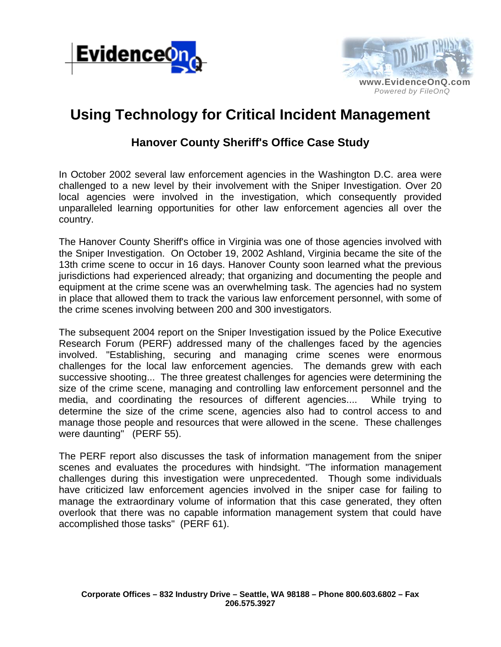



## **Using Technology for Critical Incident Management**

## **Hanover County Sheriff's Office Case Study**

In October 2002 several law enforcement agencies in the Washington D.C. area were challenged to a new level by their involvement with the Sniper Investigation. Over 20 local agencies were involved in the investigation, which consequently provided unparalleled learning opportunities for other law enforcement agencies all over the country.

The Hanover County Sheriff's office in Virginia was one of those agencies involved with the Sniper Investigation. On October 19, 2002 Ashland, Virginia became the site of the 13th crime scene to occur in 16 days. Hanover County soon learned what the previous jurisdictions had experienced already; that organizing and documenting the people and equipment at the crime scene was an overwhelming task. The agencies had no system in place that allowed them to track the various law enforcement personnel, with some of the crime scenes involving between 200 and 300 investigators.

The subsequent 2004 report on the Sniper Investigation issued by the Police Executive Research Forum (PERF) addressed many of the challenges faced by the agencies involved. "Establishing, securing and managing crime scenes were enormous challenges for the local law enforcement agencies. The demands grew with each successive shooting... The three greatest challenges for agencies were determining the size of the crime scene, managing and controlling law enforcement personnel and the media, and coordinating the resources of different agencies.... While trying to determine the size of the crime scene, agencies also had to control access to and manage those people and resources that were allowed in the scene. These challenges were daunting" (PERF 55).

The PERF report also discusses the task of information management from the sniper scenes and evaluates the procedures with hindsight. "The information management challenges during this investigation were unprecedented. Though some individuals have criticized law enforcement agencies involved in the sniper case for failing to manage the extraordinary volume of information that this case generated, they often overlook that there was no capable information management system that could have accomplished those tasks" (PERF 61).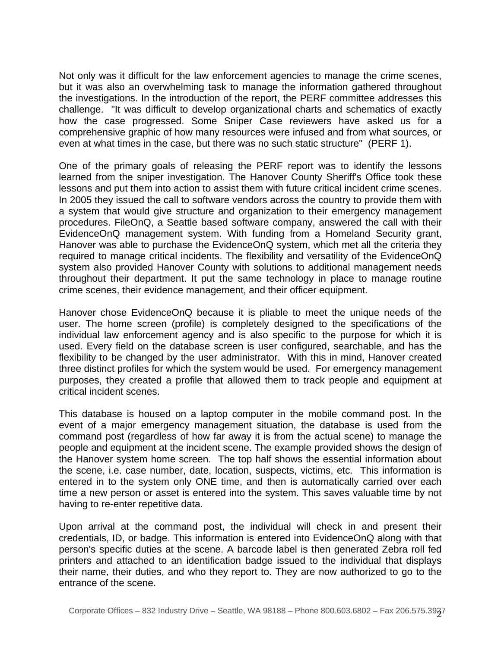Not only was it difficult for the law enforcement agencies to manage the crime scenes, but it was also an overwhelming task to manage the information gathered throughout the investigations. In the introduction of the report, the PERF committee addresses this challenge. "It was difficult to develop organizational charts and schematics of exactly how the case progressed. Some Sniper Case reviewers have asked us for a comprehensive graphic of how many resources were infused and from what sources, or even at what times in the case, but there was no such static structure" (PERF 1).

One of the primary goals of releasing the PERF report was to identify the lessons learned from the sniper investigation. The Hanover County Sheriff's Office took these lessons and put them into action to assist them with future critical incident crime scenes. In 2005 they issued the call to software vendors across the country to provide them with a system that would give structure and organization to their emergency management procedures. FileOnQ, a Seattle based software company, answered the call with their EvidenceOnQ management system. With funding from a Homeland Security grant, Hanover was able to purchase the EvidenceOnQ system, which met all the criteria they required to manage critical incidents. The flexibility and versatility of the EvidenceOnQ system also provided Hanover County with solutions to additional management needs throughout their department. It put the same technology in place to manage routine crime scenes, their evidence management, and their officer equipment.

Hanover chose EvidenceOnQ because it is pliable to meet the unique needs of the user. The home screen (profile) is completely designed to the specifications of the individual law enforcement agency and is also specific to the purpose for which it is used. Every field on the database screen is user configured, searchable, and has the flexibility to be changed by the user administrator. With this in mind, Hanover created three distinct profiles for which the system would be used. For emergency management purposes, they created a profile that allowed them to track people and equipment at critical incident scenes.

This database is housed on a laptop computer in the mobile command post. In the event of a major emergency management situation, the database is used from the command post (regardless of how far away it is from the actual scene) to manage the people and equipment at the incident scene. The example provided shows the design of the Hanover system home screen. The top half shows the essential information about the scene, i.e. case number, date, location, suspects, victims, etc. This information is entered in to the system only ONE time, and then is automatically carried over each time a new person or asset is entered into the system. This saves valuable time by not having to re-enter repetitive data.

Upon arrival at the command post, the individual will check in and present their credentials, ID, or badge. This information is entered into EvidenceOnQ along with that person's specific duties at the scene. A barcode label is then generated Zebra roll fed printers and attached to an identification badge issued to the individual that displays their name, their duties, and who they report to. They are now authorized to go to the entrance of the scene.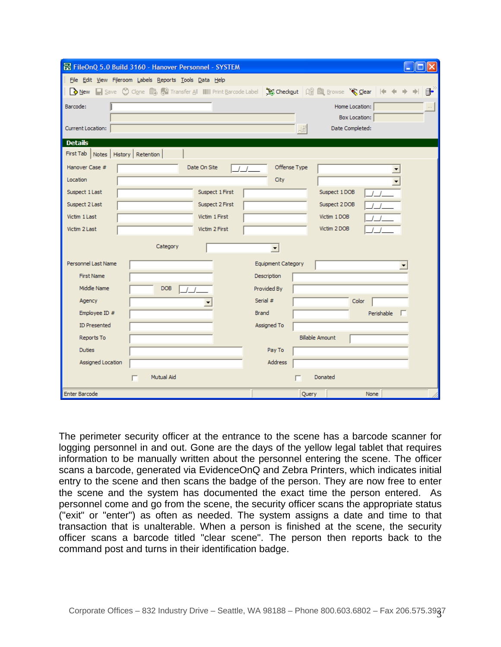|                                         | FileOnQ 5.0 Build 3160 - Hanover Personnel - SYSTEM                                                       |
|-----------------------------------------|-----------------------------------------------------------------------------------------------------------|
|                                         | File Edit View Fileroom Labels Reports Tools Data Help                                                    |
|                                         | New Save C Clone & Car Transfer All IIIII Print Barcode Label ( So Checkout   Q & Browse ' Car   4 4<br>≇ |
| Barcode:                                | Home Location:<br>$\alpha$                                                                                |
|                                         | Box Location:                                                                                             |
| Current Location:                       | Date Completed:<br>ᆌ                                                                                      |
| <b>Details</b>                          |                                                                                                           |
| First Tab   Notes   History   Retention |                                                                                                           |
| Hanover Case #                          | Offense Type<br>Date On Site                                                                              |
| Location                                | City                                                                                                      |
| Suspect 1 Last                          | Suspect 1 First<br>Suspect 1DOB                                                                           |
| Suspect 2 Last                          | Suspect 2 First<br>Suspect 2 DOB                                                                          |
| Victim 1 Last                           | Victim 1 First<br>Victim 1 DOB                                                                            |
| Victim 2 Last                           | Victim 2 DOB<br>Victim 2 First                                                                            |
|                                         | Category<br>$\blacktriangledown$                                                                          |
|                                         |                                                                                                           |
| Personnel Last Name                     | <b>Equipment Category</b>                                                                                 |
| <b>First Name</b>                       | Description                                                                                               |
| Middle Name                             | <b>DOB</b><br>Provided By                                                                                 |
| Agency                                  | Serial #<br>Color                                                                                         |
| Employee ID #                           | <b>Brand</b><br>Perishable                                                                                |
| <b>ID Presented</b>                     | Assigned To                                                                                               |
| Reports To                              | <b>Billable Amount</b>                                                                                    |
| <b>Duties</b>                           | Pay To                                                                                                    |
| Assigned Location                       | Address                                                                                                   |
|                                         | Mutual Aid<br>Donated<br>г                                                                                |
| <b>Enter Barcode</b>                    | Query<br>None                                                                                             |

The perimeter security officer at the entrance to the scene has a barcode scanner for logging personnel in and out. Gone are the days of the yellow legal tablet that requires information to be manually written about the personnel entering the scene. The officer scans a barcode, generated via EvidenceOnQ and Zebra Printers, which indicates initial entry to the scene and then scans the badge of the person. They are now free to enter the scene and the system has documented the exact time the person entered. As personnel come and go from the scene, the security officer scans the appropriate status ("exit" or "enter") as often as needed. The system assigns a date and time to that transaction that is unalterable. When a person is finished at the scene, the security officer scans a barcode titled "clear scene". The person then reports back to the command post and turns in their identification badge.